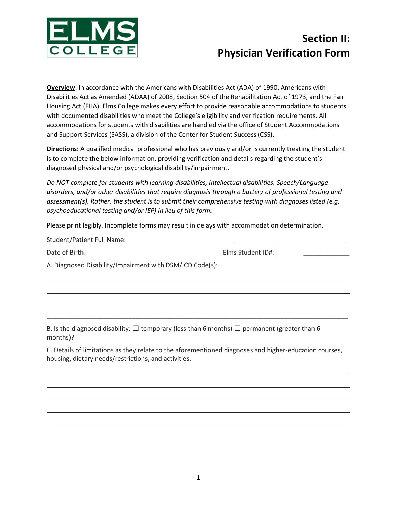

## **Section II: Physician Verification Form**

**Overview**: In accordance with the Americans with Disabilities Act (ADA) of 1990, Americans with Disabilities Act as Amended (ADAA) of 2008, Section 504 of the Rehabilitation Act of 1973, and the Fair Housing Act (FHA), Elms College makes every effort to provide reasonable accommodations to students with documented disabilities who meet the College's eligibility and verification requirements. All accommodations for students with disabilities are handled via the office of Student Accommodations and Support Services (SASS), a division of the Center for Student Success (CSS).

**Directions:** A qualified medical professional who has previously and/or is currently treating the student is to complete the below information, providing verification and details regarding the student's diagnosed physical and/or psychological disability/impairment.

*Do NOT complete for students with learning disabilities, intellectual disabilities, Speech/Language disorders, and/or other disabilities that require diagnosis through a battery of professional testing and assessment(s). Rather, the student is to submit their comprehensive testing with diagnoses listed (e.g. psychoeducational testing and/or IEP) in lieu of this form.* 

Please print legibly. Incomplete forms may result in delays with accommodation determination.

| <b>Student/Patient Full Name:</b> |  |
|-----------------------------------|--|
|                                   |  |

|  |  |  | Date of Birth: |  |
|--|--|--|----------------|--|
|--|--|--|----------------|--|

**Elms Student ID#:** \_\_\_\_\_\_\_\_\_\_\_\_\_\_

A. Diagnosed Disability/Impairment with DSM/ICD Code(s):

B. Is the diagnosed disability:  $\Box$  temporary (less than 6 months)  $\Box$  permanent (greater than 6 months)?

C. Details of limitations as they relate to the aforementioned diagnoses and higher-education courses, housing, dietary needs/restrictions, and activities.

\_\_\_\_\_\_\_\_\_\_\_\_\_\_\_\_\_\_\_\_\_\_\_\_\_\_\_\_\_\_\_\_\_\_\_\_\_\_\_\_\_\_\_\_\_\_\_\_\_\_\_\_\_\_\_\_\_\_\_\_\_\_\_\_\_\_\_\_\_\_\_\_\_\_\_\_\_\_\_\_\_\_\_\_\_